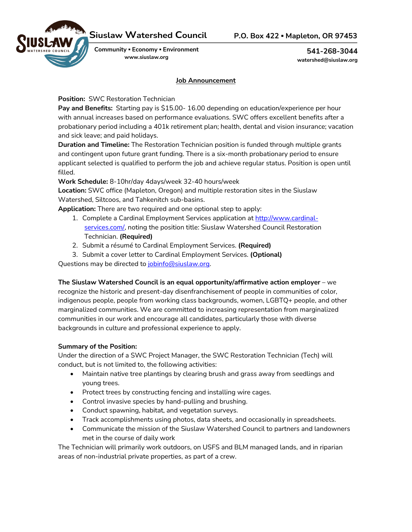

**Community ▪ Economy ▪ Environment www.siuslaw.org**

**541-268-3044 watershed@siuslaw.org**

## **Job Announcement**

**Position:** SWC Restoration Technician

**Pay and Benefits:** Starting pay is \$15.00- 16.00 depending on education/experience per hour with annual increases based on performance evaluations. SWC offers excellent benefits after a probationary period including a 401k retirement plan; health, dental and vision insurance; vacation and sick leave; and paid holidays.

**Duration and Timeline:** The Restoration Technician position is funded through multiple grants and contingent upon future grant funding. There is a six-month probationary period to ensure applicant selected is qualified to perform the job and achieve regular status. Position is open until filled.

**Work Schedule:** 8-10hr/day 4days/week 32-40 hours/week

**Location:** SWC office (Mapleton, Oregon) and multiple restoration sites in the Siuslaw Watershed, Siltcoos, and Tahkenitch sub-basins.

**Application:** There are two required and one optional step to apply:

- 1. Complete a Cardinal Employment Services application at http://www.cardinalservices.com/, noting the position title: Siuslaw Watershed Council Restoration Technician. **(Required)**
- 2. Submit a résumé to Cardinal Employment Services. **(Required)**
- 3. Submit a cover letter to Cardinal Employment Services. **(Optional)**

Questions may be directed to jobinfo@siuslaw.org.

**The Siuslaw Watershed Council is an equal opportunity/affirmative action employer** – we recognize the historic and present-day disenfranchisement of people in communities of color, indigenous people, people from working class backgrounds, women, LGBTQ+ people, and other marginalized communities. We are committed to increasing representation from marginalized communities in our work and encourage all candidates, particularly those with diverse backgrounds in culture and professional experience to apply.

# **Summary of the Position:**

Under the direction of a SWC Project Manager, the SWC Restoration Technician (Tech) will conduct, but is not limited to, the following activities:

- Maintain native tree plantings by clearing brush and grass away from seedlings and young trees.
- Protect trees by constructing fencing and installing wire cages.
- Control invasive species by hand-pulling and brushing.
- Conduct spawning, habitat, and vegetation surveys.
- Track accomplishments using photos, data sheets, and occasionally in spreadsheets.
- Communicate the mission of the Siuslaw Watershed Council to partners and landowners met in the course of daily work

The Technician will primarily work outdoors, on USFS and BLM managed lands, and in riparian areas of non-industrial private properties, as part of a crew.